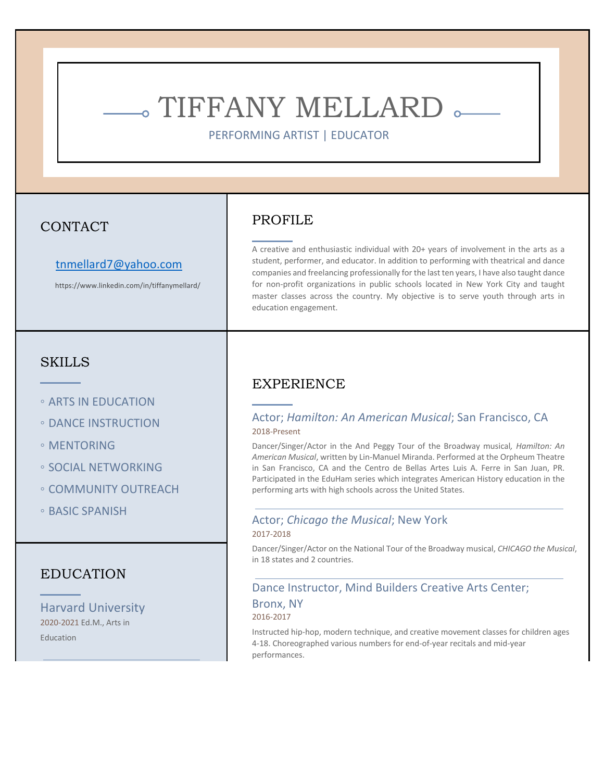# - TIFFANY MELLARD .

PERFORMING ARTIST | EDUCATOR

## CONTACT

#### tnmellard7@yahoo.com

https://www.linkedin.com/in/tiffanymellard/

## **SKILLS**

- ARTS IN EDUCATION
- DANCE INSTRUCTION
- MENTORING
- SOCIAL NETWORKING
- COMMUNITY OUTREACH
- BASIC SPANISH

### EDUCATION

Harvard University 2020-2021 Ed.M., Arts in **Education** 

## PROFILE

A creative and enthusiastic individual with 20+ years of involvement in the arts as a student, performer, and educator. In addition to performing with theatrical and dance companies and freelancing professionally for the last ten years, I have also taught dance for non-profit organizations in public schools located in New York City and taught master classes across the country. My objective is to serve youth through arts in education engagement.

# EXPERIENCE

#### Actor; *Hamilton: An American Musical*; San Francisco, CA 2018-Present

Dancer/Singer/Actor in the And Peggy Tour of the Broadway musical*, Hamilton: An American Musical*, written by Lin-Manuel Miranda. Performed at the Orpheum Theatre in San Francisco, CA and the Centro de Bellas Artes Luis A. Ferre in San Juan, PR. Participated in the EduHam series which integrates American History education in the performing arts with high schools across the United States.

# Actor; *Chicago the Musical*; New York

## 2017-2018

Dancer/Singer/Actor on the National Tour of the Broadway musical, *CHICAGO the Musical*, in 18 states and 2 countries.

#### Dance Instructor, Mind Builders Creative Arts Center;

#### Bronx, NY

#### 2016-2017

Instructed hip-hop, modern technique, and creative movement classes for children ages 4-18. Choreographed various numbers for end-of-year recitals and mid-year performances.